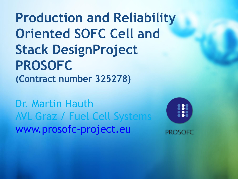**Production and Reliability Oriented SOFC Cell and Stack DesignProject PROSOFC (Contract number 325278)**

Dr. Martin Hauth AVL Graz / Fuel Cell Systems [www.prosofc-project.eu](http://www.prosofc-project.eu/)

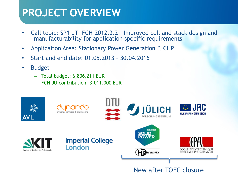### **PROJECT OVERVIEW**

- Call topic: SP1-JTI-FCH-2012.3.2 Improved cell and stack design and manufacturability for application specific requirements
- Application Area: Stationary Power Generation & CHP
- Start and end date: 01.05.2013 30.04.2016
- Budget
	- Total budget: 6,806,211 EUR
	- FCH JU contribution: 3,011,000 EUR



New after TOFC closure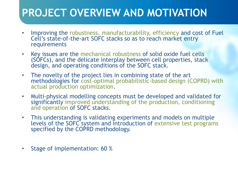## **PROJECT OVERVIEW AND MOTIVATION**

- Improving the robustness, manufacturability, efficiency and cost of Fuel Cell's state-of-the-art SOFC stacks so as to reach market entry requirements
- Key issues are the mechanical robustness of solid oxide fuel cells (SOFCs), and the delicate interplay between cell properties, stack design, and operating conditions of the SOFC stack.
- The novelty of the project lies in combining state of the art methodologies for cost-optimal probabilistic-based design (COPRD) with actual production optimization.
- Multi-physical modelling concepts must be developed and validated for significantly improved understanding of the production, conditioning and operation of SOFC stacks.
- This understanding is validating experiments and models on multiple levels of the SOFC system and introduction of extensive test programs specified by the COPRD methodology.
- Stage of implementation: 60 %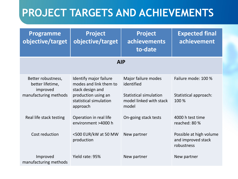## **PROJECT TARGETS AND ACHIEVEMENTS**

| <b>Programme</b><br>objective/target                                        | <b>Project</b><br>objective/target                                                                                                | <b>Project</b><br><b>achievements</b><br>to-date                                                       | <b>Expected final</b><br>achievement                        |
|-----------------------------------------------------------------------------|-----------------------------------------------------------------------------------------------------------------------------------|--------------------------------------------------------------------------------------------------------|-------------------------------------------------------------|
| <b>AIP</b>                                                                  |                                                                                                                                   |                                                                                                        |                                                             |
| Better robustness,<br>better lifetime,<br>improved<br>manufacturing methods | Identify major failure<br>modes and link them to<br>stack design and<br>production using an<br>statistical simulation<br>approach | Major failure modes<br>identified<br><b>Statistical simulation</b><br>model linked with stack<br>model | Failure mode: 100 %<br>Statistical approach:<br>100 %       |
| Real life stack testing                                                     | Operation in real life<br>environment >4000 h                                                                                     | On-going stack tests                                                                                   | 4000 h test time<br>reached: 80 %                           |
| Cost reduction                                                              | <500 EUR/kW at 50 MW<br>production                                                                                                | New partner                                                                                            | Possible at high volume<br>and improved stack<br>robustness |
| Improved<br>manufacturing methods                                           | Yield rate: 95%                                                                                                                   | New partner                                                                                            | New partner                                                 |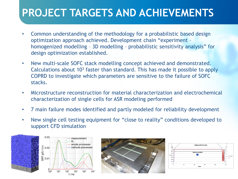## **PROJECT TARGETS AND ACHIEVEMENTS**

- Common understanding of the methodology for a probabilistic based design optimization approach achieved. Development chain "experiment – homogenized modelling – 3D modelling – probabilistic sensitivity analysis" for design optimization established.
- New multi-scale SOFC stack modelling concept achieved and demonstrated. Calculations about 10<sup>3</sup> faster than standard. This has made it possible to apply COPRD to investigate which parameters are sensitive to the failure of SOFC stacks.
- Microstructure reconstruction for material characterization and electrochemical characterization of single cells for ASR modeling performed
- 7 main failure modes identified and partly modeled for reliability development
- New single cell testing equipment for "close to reality" conditions developed to support CFD simulation





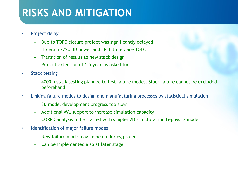#### **RISKS AND MITIGATION**

- Project delay
	- Due to TOFC closure project was significantly delayed
	- Htceramix/SOLID power and EPFL to replace TOFC
	- Transition of results to new stack design
	- Project extension of 1.5 years is asked for
- Stack testing
	- 4000 h stack testing planned to test failure modes. Stack failure cannot be excluded beforehand
- Linking failure modes to design and manufacturing processes by statistical simulation
	- 3D model development progress too slow.
	- Additional AVL support to increase simulation capacity
	- CORPD analysis to be started with simpler 2D structural multi-physics model
- Identification of major failure modes
	- New failure mode may come up during project
	- Can be implemented also at later stage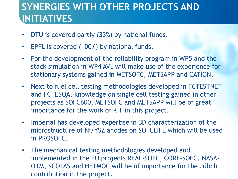#### **SYNERGIES WITH OTHER PROJECTS AND INITIATIVES**

- DTU is covered partly (33%) by national funds.
- EPFL is covered (100%) by national funds.
- For the development of the reliability program in WP5 and the stack simulation in WP4 AVL will make use of the experience for stationary systems gained in METSOFC, METSAPP and CATION.
- Next to fuel cell testing methodologies developed in FCTESTNET and FCTESQA, knowledge on single cell testing gained in other projects as SOFC600, METSOFC and METSAPP will be of great importance for the work of KIT in this project.
- Imperial has developed expertise in 3D characterization of the microstructure of Ni/YSZ anodes on SOFCLIFE which will be used in PROSOFC.
- The mechanical testing methodologies developed and implemented in the EU projects REAL-SOFC, CORE-SOFC, NASA-OTM, SCOTAS and HETMOC will be of importance for the Jülich contribution in the project.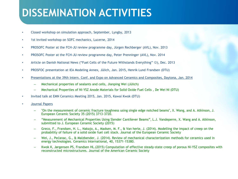## **DISSEMINATION ACTIVITIES**

- Closed workshop on simulation approach, September, Lyngby, 2013
- 1st invited workshop on SOFC mechanics, Lucerne, 2014
- PROSOFC Poster at the FCH-JU review programme day, Jürgen Rechberger (AVL), Nov. 2013
- PROSOFC Poster at the FCH-JU review programme day, Peter Prenninger (AVL), Nov. 2014
- Article on Danish National News ("Fuel Cells of the Future Withstands Everything"  $\circledcirc$ ), Dec. 2013
- PROSFOC presentation at IEA Modeling Annex, Jülich, Jan. 2015, Henrik Lund Frandsen (DTU)
- Presentations at the 39th Intern. Conf. and Expo on Advanced Ceramics and Composites, Daytona, Jan. 2014
	- Mechanical properties of sealants and cells, Jianping Wei (Jülich)
	- Mechanical Properties of Ni-YSZ Anode Materials for Solid Oxide Fuel Cells , De Wei Ni (DTU)
- Invited talk at EMN Ceramics Meeting 2015, Jan. 2015, Kawai Kwok (DTU)
- Journal Papers
	- "On the measurement of ceramic fracture toughness using single edge notched beams", X. Wang, and A. Atkinson, J. European Ceramic Society 35 (2015) 3713-3720.
	- "Measurement of Mechanical Properties Using Slender Cantilever Beams", L.J. Vandeperre, X. Wang and A. Atkinson, submitted to J. European Ceramic Society (2015)
	- Greco, F., Frandsen, H. L., Nakajo, A., Madsen, M. F., & Van herle, J. (2014). Modelling the impact of creep on the probability of failure of a solid oxide fuel cell stack. Journal of the European Ceramic Society
	- Wei, J., Pećanac, G., & Malzbender, J. (2014). Review of mechanical characterization methods for ceramics used in energy technologies. Ceramics International, 40, 15371–15380.
	- Kwok K, Jørgensen PS, Frandsen HL.(2015) Computation of effective steady-state creep of porous Ni-YSZ composites with reconstructed microstructures. Journal of the American Ceramic Society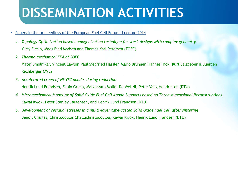# **DISSEMINATION ACTIVITIES**

- Papers in the proceedings of the European Fuel Cell Forum, Lucerne 2014
	- *1. Topology Optimization based homogenization technique for stack designs with complex geometry* Yuriy Elesin, Mads Find Madsen and Thomas Karl Petersen (TOFC)
	- *2. Thermo mechanical FEA of SOFC*

Matej Smolnikar, Vincent Lawlor, Paul Siegfried Hassler, Mario Brunner, Hannes Hick, Kurt Salzgeber & Juergen Rechberger (AVL)

- *3. Accelerated creep of Ni-YSZ anodes during reduction* Henrik Lund Frandsen, Fabio Greco, Malgorzata Molin, De Wei Ni, Peter Vang Hendriksen (DTU)
- *4. Micromechanical Modeling of Solid Oxide Fuel Cell Anode Supports based on Three-dimensional Reconstructions*, Kawai Kwok, Peter Stanley Jørgensen, and Henrik Lund Frandsen (DTU)
- *5. Development of residual stresses in a multi-layer tape-casted Solid Oxide Fuel Cell after sintering* Benoit Charlas, Christodoulos Chatzichristodoulou, Kawai Kwok, Henrik Lund Frandsen (DTU)